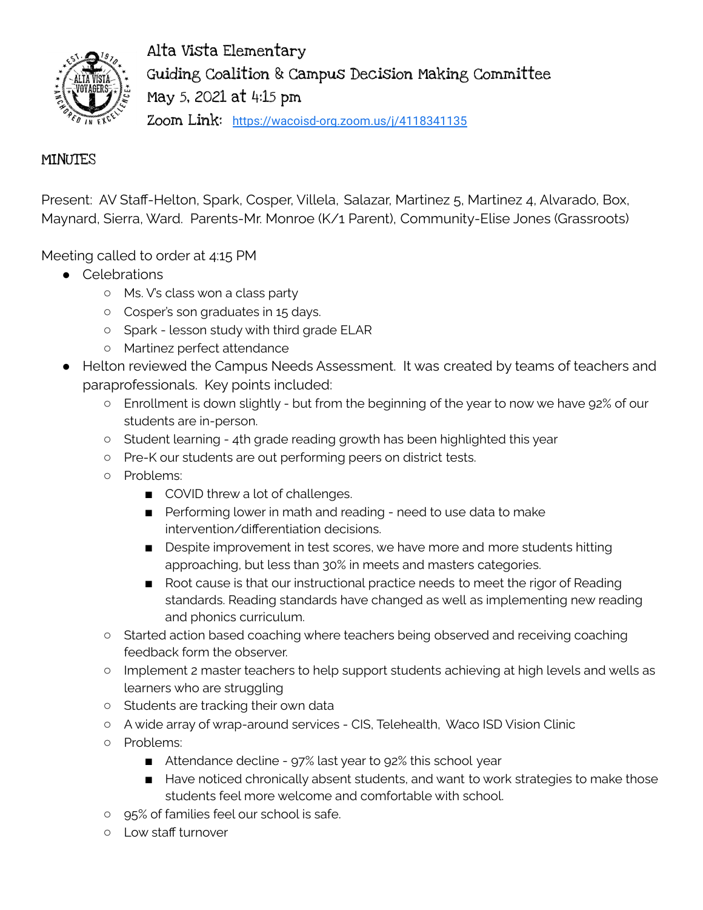

Alta Vista Elementary Guiding Coalition & Campus Decision Making Committee May 5, 2021 at 4:15 pm Zoom Link: <https://wacoisd-org.zoom.us/j/4118341135>

## **MINUTES**

Present: AV Staff-Helton, Spark, Cosper, Villela, Salazar, Martinez 5, Martinez 4, Alvarado, Box, Maynard, Sierra, Ward. Parents-Mr. Monroe (K/1 Parent), Community-Elise Jones (Grassroots)

Meeting called to order at 4:15 PM

- Celebrations
	- Ms. V's class won a class party
	- Cosper's son graduates in 15 days.
	- Spark lesson study with third grade ELAR
	- Martinez perfect attendance
- Helton reviewed the Campus Needs Assessment. It was created by teams of teachers and paraprofessionals. Key points included:
	- Enrollment is down slightly but from the beginning of the year to now we have 92% of our students are in-person.
	- Student learning 4th grade reading growth has been highlighted this year
	- Pre-K our students are out performing peers on district tests.
	- Problems:
		- COVID threw a lot of challenges.
		- Performing lower in math and reading need to use data to make intervention/differentiation decisions.
		- Despite improvement in test scores, we have more and more students hitting approaching, but less than 30% in meets and masters categories.
		- Root cause is that our instructional practice needs to meet the rigor of Reading standards. Reading standards have changed as well as implementing new reading and phonics curriculum.
	- Started action based coaching where teachers being observed and receiving coaching feedback form the observer.
	- Implement 2 master teachers to help support students achieving at high levels and wells as learners who are struggling
	- Students are tracking their own data
	- A wide array of wrap-around services CIS, Telehealth, Waco ISD Vision Clinic
	- Problems:
		- Attendance decline 97% last year to 92% this school year
		- Have noticed chronically absent students, and want to work strategies to make those students feel more welcome and comfortable with school.
	- 95% of families feel our school is safe.
	- Low staff turnover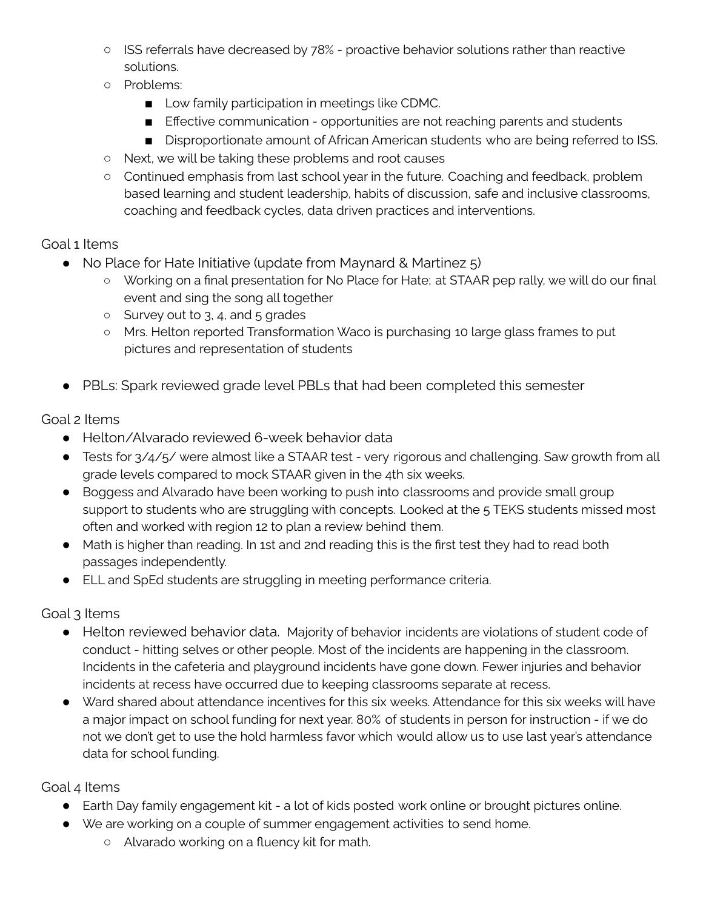- ISS referrals have decreased by 78% proactive behavior solutions rather than reactive solutions.
- Problems:
	- Low family participation in meetings like CDMC.
	- Effective communication opportunities are not reaching parents and students
	- Disproportionate amount of African American students who are being referred to ISS.
- Next, we will be taking these problems and root causes
- Continued emphasis from last school year in the future. Coaching and feedback, problem based learning and student leadership, habits of discussion, safe and inclusive classrooms, coaching and feedback cycles, data driven practices and interventions.

## Goal 1 Items

- No Place for Hate Initiative (update from Maynard & Martinez 5)
	- Working on a final presentation for No Place for Hate; at STAAR pep rally, we will do our final event and sing the song all together
	- Survey out to 3, 4, and 5 grades
	- Mrs. Helton reported Transformation Waco is purchasing 10 large glass frames to put pictures and representation of students
- PBLs: Spark reviewed grade level PBLs that had been completed this semester

## Goal 2 Items

- Helton/Alvarado reviewed 6-week behavior data
- Tests for 3/4/5/ were almost like a STAAR test very rigorous and challenging. Saw growth from all grade levels compared to mock STAAR given in the 4th six weeks.
- Boggess and Alvarado have been working to push into classrooms and provide small group support to students who are struggling with concepts. Looked at the 5 TEKS students missed most often and worked with region 12 to plan a review behind them.
- Math is higher than reading. In 1st and 2nd reading this is the first test they had to read both passages independently.
- ELL and SpEd students are struggling in meeting performance criteria.

## Goal 3 Items

- Helton reviewed behavior data. Majority of behavior incidents are violations of student code of conduct - hitting selves or other people. Most of the incidents are happening in the classroom. Incidents in the cafeteria and playground incidents have gone down. Fewer injuries and behavior incidents at recess have occurred due to keeping classrooms separate at recess.
- Ward shared about attendance incentives for this six weeks. Attendance for this six weeks will have a major impact on school funding for next year. 80% of students in person for instruction - if we do not we don't get to use the hold harmless favor which would allow us to use last year's attendance data for school funding.

Goal 4 Items

- Earth Day family engagement kit a lot of kids posted work online or brought pictures online.
- We are working on a couple of summer engagement activities to send home.
	- Alvarado working on a fluency kit for math.